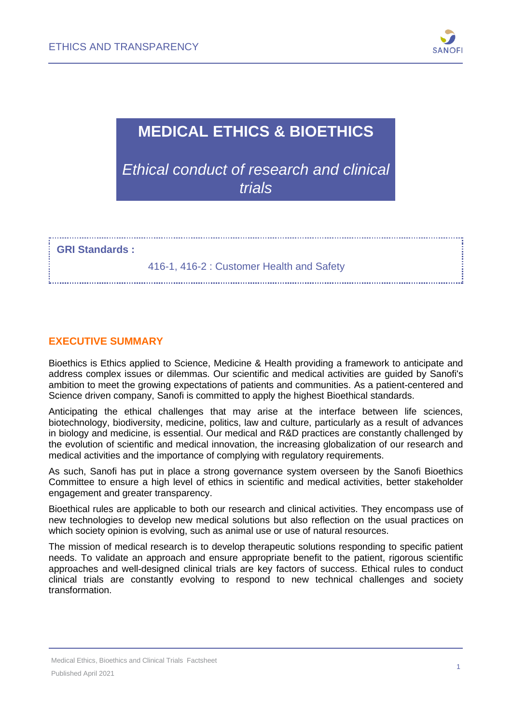

# **MEDICAL ETHICS & BIOETHICS**

*Ethical conduct of research and clinical trials*

**GRI Standards :**

416-1, 416-2 : Customer Health and Safety

### **EXECUTIVE SUMMARY**

Bioethics is Ethics applied to Science, Medicine & Health providing a framework to anticipate and address complex issues or dilemmas. Our scientific and medical activities are guided by Sanofi's ambition to meet the growing expectations of patients and communities. As a patient-centered and Science driven company, Sanofi is committed to apply the highest Bioethical standards.

Anticipating the ethical challenges that may arise at the interface between life sciences, biotechnology, biodiversity, medicine, politics, law and culture, particularly as a result of advances in biology and medicine, is essential. Our medical and R&D practices are constantly challenged by the evolution of scientific and medical innovation, the increasing globalization of our research and medical activities and the importance of complying with regulatory requirements.

As such, Sanofi has put in place a strong governance system overseen by the Sanofi Bioethics Committee to ensure a high level of ethics in scientific and medical activities, better stakeholder engagement and greater transparency.

Bioethical rules are applicable to both our research and clinical activities. They encompass use of new technologies to develop new medical solutions but also reflection on the usual practices on which society opinion is evolving, such as animal use or use of natural resources.

The mission of medical research is to develop therapeutic solutions responding to specific patient needs. To validate an approach and ensure appropriate benefit to the patient, rigorous scientific approaches and well-designed clinical trials are key factors of success. Ethical rules to conduct clinical trials are constantly evolving to respond to new technical challenges and society transformation.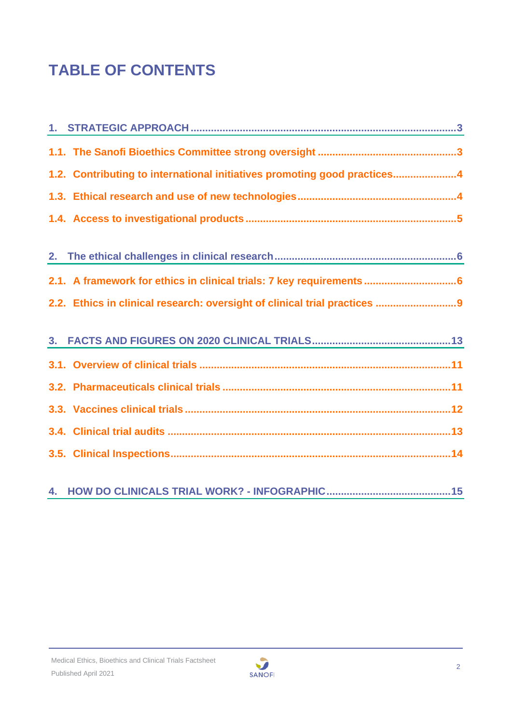# **TABLE OF CONTENTS**

| 1.2. Contributing to international initiatives promoting good practices4   |
|----------------------------------------------------------------------------|
|                                                                            |
|                                                                            |
|                                                                            |
| 2.1. A framework for ethics in clinical trials: 7 key requirements  6      |
| 2.2. Ethics in clinical research: oversight of clinical trial practices  9 |
|                                                                            |
|                                                                            |
|                                                                            |
|                                                                            |
|                                                                            |
|                                                                            |
|                                                                            |

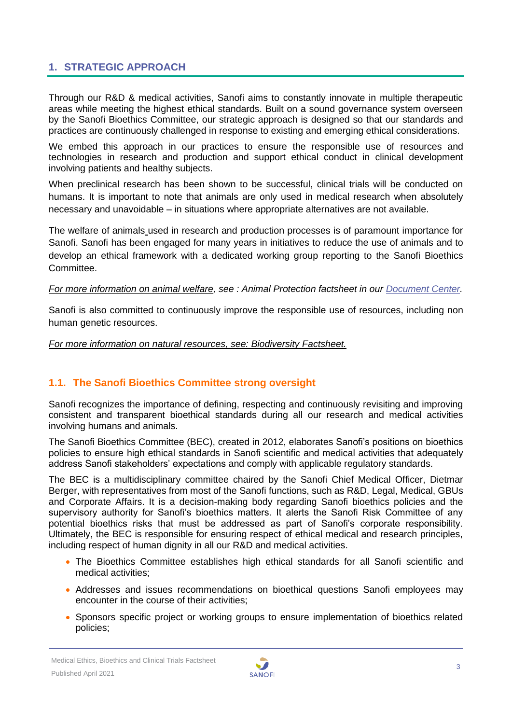# <span id="page-2-0"></span>**1. STRATEGIC APPROACH**

Through our R&D & medical activities, Sanofi aims to constantly innovate in multiple therapeutic areas while meeting the highest ethical standards. Built on a sound governance system overseen by the Sanofi Bioethics Committee, our strategic approach is designed so that our standards and practices are continuously challenged in response to existing and emerging ethical considerations.

We embed this approach in our practices to ensure the responsible use of resources and technologies in research and production and support ethical conduct in clinical development involving patients and healthy subjects.

When preclinical research has been shown to be successful, clinical trials will be conducted on humans. It is important to note that animals are only used in medical research when absolutely necessary and unavoidable – in situations where appropriate alternatives are not available.

The welfare of animals used in research and production processes is of paramount importance for Sanofi. Sanofi has been engaged for many years in initiatives to reduce the use of animals and to develop an ethical framework with a dedicated working group reporting to the Sanofi Bioethics Committee.

#### *For more information on animal welfare, see : Animal Protection factsheet in our [Document](https://www.sanofi.com/en/our-responsibility/documents-center/) Center.*

Sanofi is also committed to continuously improve the responsible use of resources, including non human genetic resources.

#### *For more information on natural resources, see: Biodiversity Factsheet.*

# <span id="page-2-1"></span>**1.1. The Sanofi Bioethics Committee strong oversight**

Sanofi recognizes the importance of defining, respecting and continuously revisiting and improving consistent and transparent bioethical standards during all our research and medical activities involving humans and animals.

The Sanofi Bioethics Committee (BEC), created in 2012, elaborates Sanofi's positions on bioethics policies to ensure high ethical standards in Sanofi scientific and medical activities that adequately address Sanofi stakeholders' expectations and comply with applicable regulatory standards.

The BEC is a multidisciplinary committee chaired by the Sanofi Chief Medical Officer, Dietmar Berger, with representatives from most of the Sanofi functions, such as R&D, Legal, Medical, GBUs and Corporate Affairs. It is a decision-making body regarding Sanofi bioethics policies and the supervisory authority for Sanofi's bioethics matters. It alerts the Sanofi Risk Committee of any potential bioethics risks that must be addressed as part of Sanofi's corporate responsibility. Ultimately, the BEC is responsible for ensuring respect of ethical medical and research principles, including respect of human dignity in all our R&D and medical activities.

- The Bioethics Committee establishes high ethical standards for all Sanofi scientific and medical activities;
- Addresses and issues recommendations on bioethical questions Sanofi employees may encounter in the course of their activities;
- Sponsors specific project or working groups to ensure implementation of bioethics related policies;

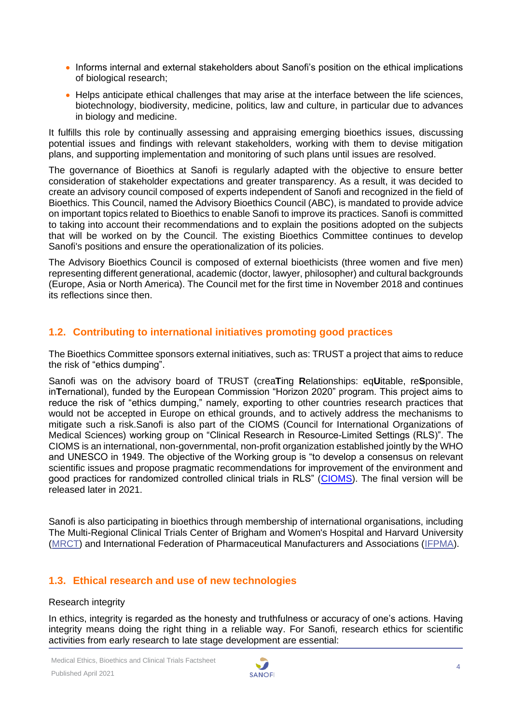- Informs internal and external stakeholders about Sanofi's position on the ethical implications of biological research;
- Helps anticipate ethical challenges that may arise at the interface between the life sciences, biotechnology, biodiversity, medicine, politics, law and culture, in particular due to advances in biology and medicine.

It fulfills this role by continually assessing and appraising emerging bioethics issues, discussing potential issues and findings with relevant stakeholders, working with them to devise mitigation plans, and supporting implementation and monitoring of such plans until issues are resolved.

The governance of Bioethics at Sanofi is regularly adapted with the objective to ensure better consideration of stakeholder expectations and greater transparency. As a result, it was decided to create an advisory council composed of experts independent of Sanofi and recognized in the field of Bioethics. This Council, named the Advisory Bioethics Council (ABC), is mandated to provide advice on important topics related to Bioethics to enable Sanofi to improve its practices. Sanofi is committed to taking into account their recommendations and to explain the positions adopted on the subjects that will be worked on by the Council. The existing Bioethics Committee continues to develop Sanofi's positions and ensure the operationalization of its policies.

The Advisory Bioethics Council is composed of external bioethicists (three women and five men) representing different generational, academic (doctor, lawyer, philosopher) and cultural backgrounds (Europe, Asia or North America). The Council met for the first time in November 2018 and continues its reflections since then.

# <span id="page-3-0"></span>**1.2. Contributing to international initiatives promoting good practices**

The Bioethics Committee sponsors external initiatives, such as: TRUST a project that aims to reduce the risk of "ethics dumping".

Sanofi was on the advisory board of TRUST (crea**T**ing **R**elationships: eq**U**itable, re**S**ponsible, in**T**ernational), funded by the European Commission "Horizon 2020" program. This project aims to reduce the risk of "ethics dumping," namely, exporting to other countries research practices that would not be accepted in Europe on ethical grounds, and to actively address the mechanisms to mitigate such a risk.Sanofi is also part of the CIOMS (Council for International Organizations of Medical Sciences) working group on "Clinical Research in Resource-Limited Settings (RLS)". The CIOMS is an international, non-governmental, non-profit organization established jointly by the WHO and UNESCO in 1949. The objective of the Working group is "to develop a consensus on relevant scientific issues and propose pragmatic recommendations for improvement of the environment and good practices for randomized controlled clinical trials in RLS" [\(CIOMS\)](https://cioms.ch/working_groups/clinical-research-rls/). The final version will be released later in 2021.

Sanofi is also participating in bioethics through membership of international organisations, including The Multi-Regional Clinical Trials Center of Brigham and Women's Hospital and Harvard University [\(MRCT\)](https://mrctcenter.org/focus-areas/ethics-conduct-oversight/) and International Federation of Pharmaceutical Manufacturers and Associations [\(IFPMA\)](https://www.ifpma.org/).

# <span id="page-3-1"></span>**1.3. Ethical research and use of new technologies**

#### Research integrity

In ethics, integrity is regarded as the honesty and truthfulness or accuracy of one's actions. Having integrity means doing the right thing in a reliable way. For Sanofi, research ethics for scientific activities from early research to late stage development are essential:

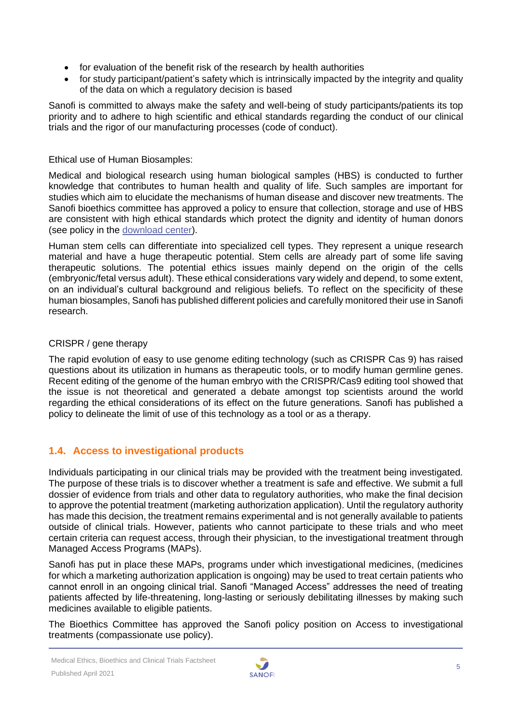- for evaluation of the benefit risk of the research by health authorities
- for study participant/patient's safety which is intrinsically impacted by the integrity and quality of the data on which a regulatory decision is based

Sanofi is committed to always make the safety and well-being of study participants/patients its top priority and to adhere to high scientific and ethical standards regarding the conduct of our clinical trials and the rigor of our manufacturing processes (code of conduct).

#### Ethical use of Human Biosamples:

Medical and biological research using human biological samples (HBS) is conducted to further knowledge that contributes to human health and quality of life. Such samples are important for studies which aim to elucidate the mechanisms of human disease and discover new treatments. The Sanofi bioethics committee has approved a policy to ensure that collection, storage and use of HBS are consistent with high ethical standards which protect the dignity and identity of human donors (see policy in the [download center\)](https://www.sanofi.com/en/our-responsibility/documents-center/ethics-and-transparency).

Human stem cells can differentiate into specialized cell types. They represent a unique research material and have a huge therapeutic potential. Stem cells are already part of some life saving therapeutic solutions. The potential ethics issues mainly depend on the origin of the cells (embryonic/fetal versus adult). These ethical considerations vary widely and depend, to some extent, on an individual's cultural background and religious beliefs. To reflect on the specificity of these human biosamples, Sanofi has published different policies and carefully monitored their use in Sanofi research.

#### CRISPR / gene therapy

The rapid evolution of easy to use genome editing technology (such as CRISPR Cas 9) has raised questions about its utilization in humans as therapeutic tools, or to modify human germline genes. Recent editing of the genome of the human embryo with the CRISPR/Cas9 editing tool showed that the issue is not theoretical and generated a debate amongst top scientists around the world regarding the ethical considerations of its effect on the future generations. Sanofi has published a policy to delineate the limit of use of this technology as a tool or as a therapy.

# <span id="page-4-0"></span>**1.4. Access to investigational products**

Individuals participating in our clinical trials may be provided with the treatment being investigated. The purpose of these trials is to discover whether a treatment is safe and effective. We submit a full dossier of evidence from trials and other data to regulatory authorities, who make the final decision to approve the potential treatment (marketing authorization application). Until the regulatory authority has made this decision, the treatment remains experimental and is not generally available to patients outside of clinical trials. However, patients who cannot participate to these trials and who meet certain criteria can request access, through their physician, to the investigational treatment through Managed Access Programs (MAPs).

Sanofi has put in place these MAPs, programs under which investigational medicines, (medicines for which a marketing authorization application is ongoing) may be used to treat certain patients who cannot enroll in an ongoing clinical trial. Sanofi "Managed Access" addresses the need of treating patients affected by life-threatening, long-lasting or seriously debilitating illnesses by making such medicines available to eligible patients.

The Bioethics Committee has approved the Sanofi policy position on Access to investigational treatments (compassionate use policy).

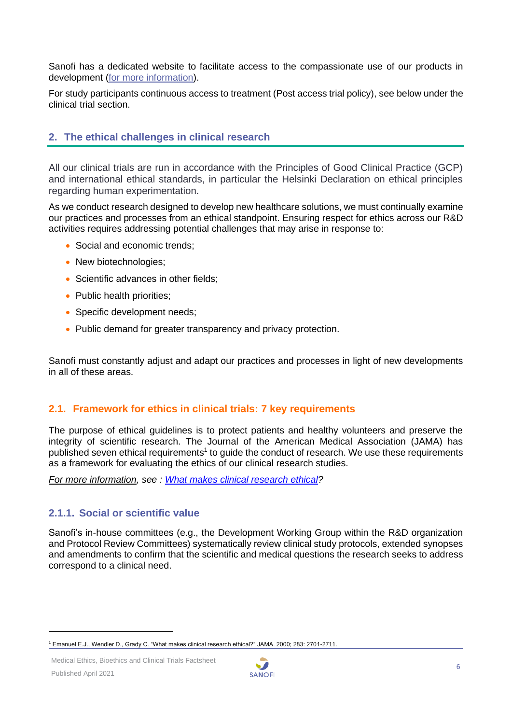Sanofi has a dedicated website to facilitate access to the compassionate use of our products in development [\(for more information\)](https://www.sanofi.com/en/science-and-innovation/clinical-trials-and-results/sanofi-manage-access-program).

For study participants continuous access to treatment (Post access trial policy), see below under the clinical trial section.

# <span id="page-5-0"></span>**2. The ethical challenges in clinical research**

All our clinical trials are run in accordance with the Principles of Good Clinical Practice (GCP) and international ethical standards, in particular the Helsinki Declaration on ethical principles regarding human experimentation.

As we conduct research designed to develop new healthcare solutions, we must continually examine our practices and processes from an ethical standpoint. Ensuring respect for ethics across our R&D activities requires addressing potential challenges that may arise in response to:

- Social and economic trends;
- New biotechnologies;
- Scientific advances in other fields;
- Public health priorities:
- Specific development needs:
- Public demand for greater transparency and privacy protection.

Sanofi must constantly adjust and adapt our practices and processes in light of new developments in all of these areas.

#### <span id="page-5-1"></span>**2.1. Framework for ethics in clinical trials: 7 key requirements**

The purpose of ethical guidelines is to protect patients and healthy volunteers and preserve the integrity of scientific research. The Journal of the American Medical Association (JAMA) has published seven ethical requirements<sup>1</sup> to guide the conduct of research. We use these requirements as a framework for evaluating the ethics of our clinical research studies.

*For more information, see : [What makes clinical research ethical?](http://jamanetwork.com/journals/jama/fullarticle/192740)* 

# **2.1.1. Social or scientific value**

Sanofi's in-house committees (e.g., the Development Working Group within the R&D organization and Protocol Review Committees) systematically review clinical study protocols, extended synopses and amendments to confirm that the scientific and medical questions the research seeks to address correspond to a clinical need.



<sup>1</sup> Emanuel E.J., Wendler D., Grady C. "What makes clinical research ethical?" JAMA. 2000; 283: 2701-2711.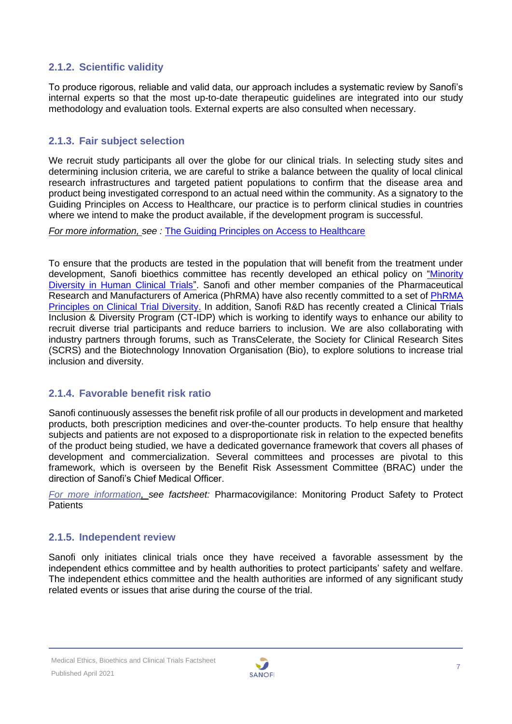# **2.1.2. Scientific validity**

To produce rigorous, reliable and valid data, our approach includes a systematic review by Sanofi's internal experts so that the most up-to-date therapeutic guidelines are integrated into our study methodology and evaluation tools. External experts are also consulted when necessary.

# **2.1.3. Fair subject selection**

We recruit study participants all over the globe for our clinical trials. In selecting study sites and determining inclusion criteria, we are careful to strike a balance between the quality of local clinical research infrastructures and targeted patient populations to confirm that the disease area and product being investigated correspond to an actual need within the community. As a signatory to the Guiding Principles on Access to Healthcare, our practice is to perform clinical studies in countries where we intend to make the product available, if the development program is successful.

*For more information, see :* [The Guiding Principles on Access to Healthcare](http://gpah.bsr.org/en/principles)

To ensure that the products are tested in the population that will benefit from the treatment under development, Sanofi bioethics committee has recently developed an ethical policy on "Minority [Diversity in Human Clinical Trials"](https://www.sanofi.com/-/media/Project/One-Sanofi-Web/Websites/Global/Sanofi-COM/Home/common/docs/our-responsibility/documents-center/factsheets-pdf6-2020/Sanofis-Policy-Position-on-Minority-Diversity-in-Human-Clinical-Trials-EN.pdf?la=en). Sanofi and other member companies of the Pharmaceutical Research and Manufacturers of America (PhRMA) have also recently committed to a set of [PhRMA](https://phrma.org/Codes-and-guidelines/PhRMA-Principles-on-Conduct-of-Clinical-Trials)  [Principles on Clinical Trial Diversity.](https://phrma.org/Codes-and-guidelines/PhRMA-Principles-on-Conduct-of-Clinical-Trials) In addition, Sanofi R&D has recently created a Clinical Trials Inclusion & Diversity Program (CT-IDP) which is working to identify ways to enhance our ability to recruit diverse trial participants and reduce barriers to inclusion. We are also collaborating with industry partners through forums, such as TransCelerate, the Society for Clinical Research Sites (SCRS) and the Biotechnology Innovation Organisation (Bio), to explore solutions to increase trial inclusion and diversity.

# **2.1.4. Favorable benefit risk ratio**

Sanofi continuously assesses the benefit risk profile of all our products in development and marketed products, both prescription medicines and over-the-counter products. To help ensure that healthy subjects and patients are not exposed to a disproportionate risk in relation to the expected benefits of the product being studied, we have a dedicated governance framework that covers all phases of development and commercialization. Several committees and processes are pivotal to this framework, which is overseen by the Benefit Risk Assessment Committee (BRAC) under the direction of Sanofi's Chief Medical Officer.

*[For more information,](https://www.sanofi.com/en/our-responsibility/documents-center/) see factsheet:* Pharmacovigilance: Monitoring Product Safety to Protect **Patients** 

# **2.1.5. Independent review**

Sanofi only initiates clinical trials once they have received a favorable assessment by the independent ethics committee and by health authorities to protect participants' safety and welfare. The independent ethics committee and the health authorities are informed of any significant study related events or issues that arise during the course of the trial.

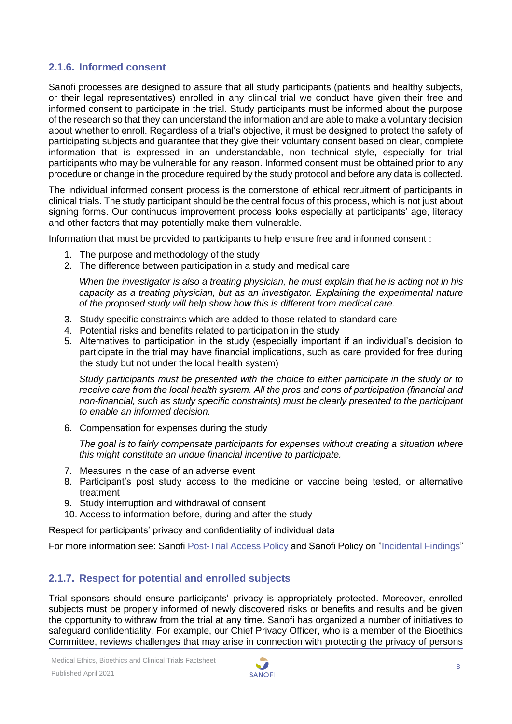### **2.1.6. Informed consent**

Sanofi processes are designed to assure that all study participants (patients and healthy subjects, or their legal representatives) enrolled in any clinical trial we conduct have given their free and informed consent to participate in the trial. Study participants must be informed about the purpose of the research so that they can understand the information and are able to make a voluntary decision about whether to enroll. Regardless of a trial's objective, it must be designed to protect the safety of participating subjects and guarantee that they give their voluntary consent based on clear, complete information that is expressed in an understandable, non technical style, especially for trial participants who may be vulnerable for any reason. Informed consent must be obtained prior to any procedure or change in the procedure required by the study protocol and before any data is collected.

The individual informed consent process is the cornerstone of ethical recruitment of participants in clinical trials. The study participant should be the central focus of this process, which is not just about signing forms. Our continuous improvement process looks especially at participants' age, literacy and other factors that may potentially make them vulnerable.

Information that must be provided to participants to help ensure free and informed consent :

- 1. The purpose and methodology of the study
- 2. The difference between participation in a study and medical care

*When the investigator is also a treating physician, he must explain that he is acting not in his capacity as a treating physician, but as an investigator. Explaining the experimental nature of the proposed study will help show how this is different from medical care.*

- 3. Study specific constraints which are added to those related to standard care
- 4. Potential risks and benefits related to participation in the study
- 5. Alternatives to participation in the study (especially important if an individual's decision to participate in the trial may have financial implications, such as care provided for free during the study but not under the local health system)

*Study participants must be presented with the choice to either participate in the study or to receive care from the local health system. All the pros and cons of participation (financial and non-financial, such as study specific constraints) must be clearly presented to the participant to enable an informed decision.*

6. Compensation for expenses during the study

*The goal is to fairly compensate participants for expenses without creating a situation where this might constitute an undue financial incentive to participate.*

- 7. Measures in the case of an adverse event
- 8. Participant's post study access to the medicine or vaccine being tested, or alternative treatment
- 9. Study interruption and withdrawal of consent
- 10. Access to information before, during and after the study

Respect for participants' privacy and confidentiality of individual data

For more information see: Sanofi [Post-Trial Access Policy](https://www.sanofi.com/-/media/Project/One-Sanofi-Web/Websites/Global/Sanofi-COM/Home/common/docs/our-responsibility/documents-center/Document-center-new/2019_Post-Trial-Access-to-Investigational-Products-Policy.pdf?la=en) and Sanofi Policy on ["Incidental Findings"](https://www.sanofi.com/-/media/Project/One-Sanofi-Web/Websites/Global/Sanofi-COM/Home/common/docs/our-responsibility/documents-center/Document-center-new/2019_Incidental-Findings-Policy.pdf?la=en)

#### **2.1.7. Respect for potential and enrolled subjects**

Trial sponsors should ensure participants' privacy is appropriately protected. Moreover, enrolled subjects must be properly informed of newly discovered risks or benefits and results and be given the opportunity to withraw from the trial at any time. Sanofi has organized a number of initiatives to safeguard confidentiality. For example, our Chief Privacy Officer, who is a member of the Bioethics Committee, reviews challenges that may arise in connection with protecting the privacy of persons

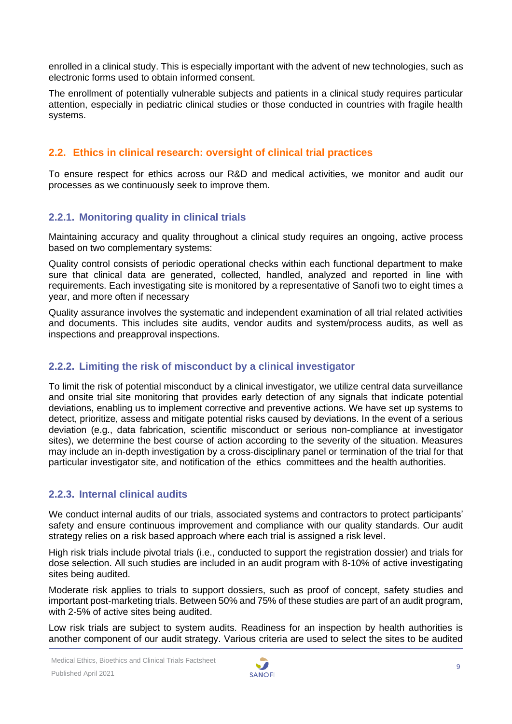enrolled in a clinical study. This is especially important with the advent of new technologies, such as electronic forms used to obtain informed consent.

The enrollment of potentially vulnerable subjects and patients in a clinical study requires particular attention, especially in pediatric clinical studies or those conducted in countries with fragile health systems.

# <span id="page-8-0"></span>**2.2. Ethics in clinical research: oversight of clinical trial practices**

To ensure respect for ethics across our R&D and medical activities, we monitor and audit our processes as we continuously seek to improve them.

# **2.2.1. Monitoring quality in clinical trials**

Maintaining accuracy and quality throughout a clinical study requires an ongoing, active process based on two complementary systems:

Quality control consists of periodic operational checks within each functional department to make sure that clinical data are generated, collected, handled, analyzed and reported in line with requirements. Each investigating site is monitored by a representative of Sanofi two to eight times a year, and more often if necessary

Quality assurance involves the systematic and independent examination of all trial related activities and documents. This includes site audits, vendor audits and system/process audits, as well as inspections and preapproval inspections.

# **2.2.2. Limiting the risk of misconduct by a clinical investigator**

To limit the risk of potential misconduct by a clinical investigator, we utilize central data surveillance and onsite trial site monitoring that provides early detection of any signals that indicate potential deviations, enabling us to implement corrective and preventive actions. We have set up systems to detect, prioritize, assess and mitigate potential risks caused by deviations. In the event of a serious deviation (e.g., data fabrication, scientific misconduct or serious non-compliance at investigator sites), we determine the best course of action according to the severity of the situation. Measures may include an in-depth investigation by a cross-disciplinary panel or termination of the trial for that particular investigator site, and notification of the ethics committees and the health authorities.

# **2.2.3. Internal clinical audits**

We conduct internal audits of our trials, associated systems and contractors to protect participants' safety and ensure continuous improvement and compliance with our quality standards. Our audit strategy relies on a risk based approach where each trial is assigned a risk level.

High risk trials include pivotal trials (i.e., conducted to support the registration dossier) and trials for dose selection. All such studies are included in an audit program with 8-10% of active investigating sites being audited.

Moderate risk applies to trials to support dossiers, such as proof of concept, safety studies and important post-marketing trials. Between 50% and 75% of these studies are part of an audit program, with 2-5% of active sites being audited.

Low risk trials are subject to system audits. Readiness for an inspection by health authorities is another component of our audit strategy. Various criteria are used to select the sites to be audited

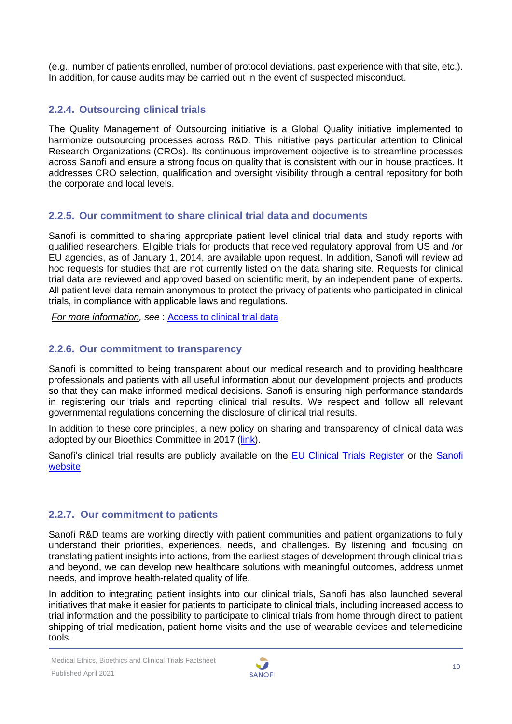(e.g., number of patients enrolled, number of protocol deviations, past experience with that site, etc.). In addition, for cause audits may be carried out in the event of suspected misconduct.

# **2.2.4. Outsourcing clinical trials**

The Quality Management of Outsourcing initiative is a Global Quality initiative implemented to harmonize outsourcing processes across R&D. This initiative pays particular attention to Clinical Research Organizations (CROs). Its continuous improvement objective is to streamline processes across Sanofi and ensure a strong focus on quality that is consistent with our in house practices. It addresses CRO selection, qualification and oversight visibility through a central repository for both the corporate and local levels.

# **2.2.5. Our commitment to share clinical trial data and documents**

Sanofi is committed to sharing appropriate patient level clinical trial data and study reports with qualified researchers. Eligible trials for products that received regulatory approval from US and /or EU agencies, as of January 1, 2014, are available upon request. In addition, Sanofi will review ad hoc requests for studies that are not currently listed on the data sharing site. Requests for clinical trial data are reviewed and approved based on scientific merit, by an independent panel of experts. All patient level data remain anonymous to protect the privacy of patients who participated in clinical trials, in compliance with applicable laws and regulations.

*For more information, see* : [Access to clinical trial data](https://www.sanofi.com/en/science-and-innovation/clinical-trials-and-results/our-data-sharing-commitments)

# **2.2.6. Our commitment to transparency**

Sanofi is committed to being transparent about our medical research and to providing healthcare professionals and patients with all useful information about our development projects and products so that they can make informed medical decisions. Sanofi is ensuring high performance standards in registering our trials and reporting clinical trial results. We respect and follow all relevant governmental regulations concerning the disclosure of clinical trial results.

In addition to these core principles, a new policy on sharing and transparency of clinical data was adopted by our Bioethics Committee in 2017 [\(link\)](https://www.sanofi.com/-/media/Project/One-Sanofi-Web/Websites/Global/Sanofi-COM/Home/common/docs/our-responsibility/documents-center/Document-center-new/2019_Clinical-Trial-Data-Sharing-Policy.pdf?la=en*).

Sanofi's clinical trial results are publicly available on the **EU Clinical Trials Register** or the **Sanofi** [website](https://www.sanofi.com/en/science-and-innovation/clinical-trials-and-results/our-disclosure-commitments)

# **2.2.7. Our commitment to patients**

Sanofi R&D teams are working directly with patient communities and patient organizations to fully understand their priorities, experiences, needs, and challenges. By listening and focusing on translating patient insights into actions, from the earliest stages of development through clinical trials and beyond, we can develop new healthcare solutions with meaningful outcomes, address unmet needs, and improve health-related quality of life.

In addition to integrating patient insights into our clinical trials, Sanofi has also launched several initiatives that make it easier for patients to participate to clinical trials, including increased access to trial information and the possibility to participate to clinical trials from home through direct to patient shipping of trial medication, patient home visits and the use of wearable devices and telemedicine tools.

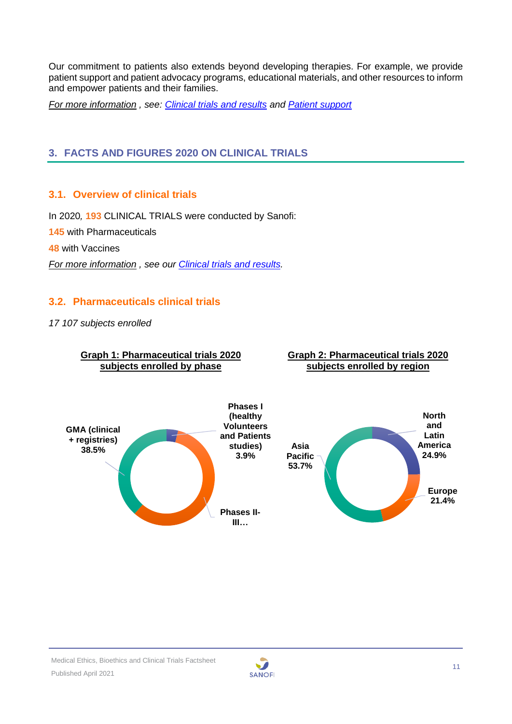Our commitment to patients also extends beyond developing therapies. For example, we provide patient support and patient advocacy programs, educational materials, and other resources to inform and empower patients and their families.

*For more information , see: [Clinical trials and results](https://www.sanofi.com/en/science-and-innovation/clinical-trials-and-results) and [Patient support](https://www.sanofigenzyme.com/en/patient-support)*

# <span id="page-10-0"></span>**3. FACTS AND FIGURES 2020 ON CLINICAL TRIALS**

# <span id="page-10-1"></span>**3.1. Overview of clinical trials**

In 2020*,* **193** CLINICAL TRIALS were conducted by Sanofi:

**145** with Pharmaceuticals

**48** with Vaccines

<span id="page-10-2"></span>*For more information , see our [Clinical trials and results.](https://www.sanofi.com/en/science-and-innovation/clinical-trials-and-results)*

# **3.2. Pharmaceuticals clinical trials**

*17 107 subjects enrolled*



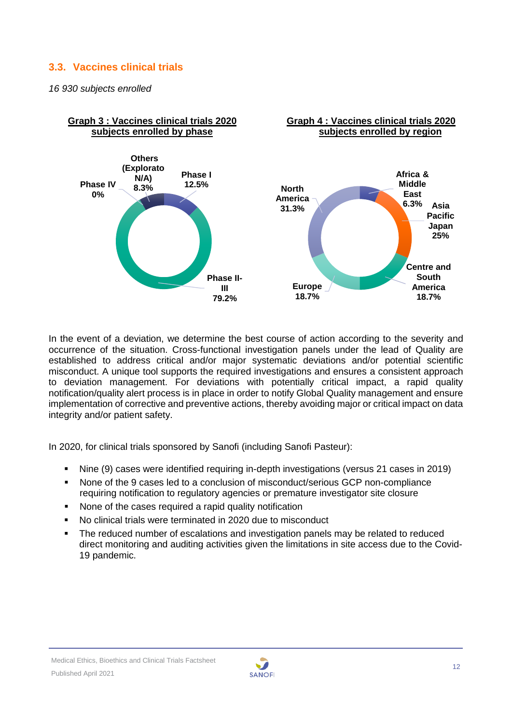# <span id="page-11-0"></span>**3.3. Vaccines clinical trials**

*16 930 subjects enrolled*



In the event of a deviation, we determine the best course of action according to the severity and occurrence of the situation. Cross-functional investigation panels under the lead of Quality are established to address critical and/or major systematic deviations and/or potential scientific misconduct. A unique tool supports the required investigations and ensures a consistent approach to deviation management. For deviations with potentially critical impact, a rapid quality notification/quality alert process is in place in order to notify Global Quality management and ensure implementation of corrective and preventive actions, thereby avoiding major or critical impact on data integrity and/or patient safety.

In 2020, for clinical trials sponsored by Sanofi (including Sanofi Pasteur):

- Nine (9) cases were identified requiring in-depth investigations (versus 21 cases in 2019)
- None of the 9 cases led to a conclusion of misconduct/serious GCP non-compliance requiring notification to regulatory agencies or premature investigator site closure
- None of the cases required a rapid quality notification
- No clinical trials were terminated in 2020 due to misconduct
- **•** The reduced number of escalations and investigation panels may be related to reduced direct monitoring and auditing activities given the limitations in site access due to the Covid-19 pandemic.

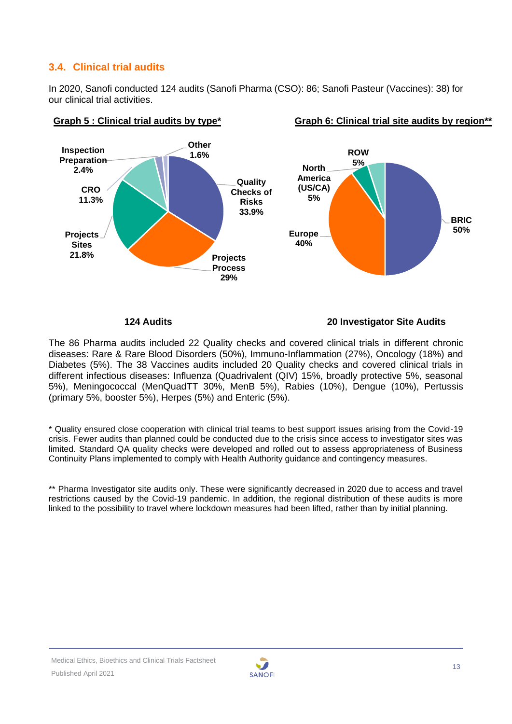# <span id="page-12-0"></span>**3.4. Clinical trial audits**

In 2020, Sanofi conducted 124 audits (Sanofi Pharma (CSO): 86; Sanofi Pasteur (Vaccines): 38) for our clinical trial activities.



### Graph 5 : Clinical trial audits by type<sup>\*</sup> Graph 6: Clinical trial site audits by region<sup>\*\*</sup>

 **124 Audits 20 Investigator Site Audits**

The 86 Pharma audits included 22 Quality checks and covered clinical trials in different chronic diseases: Rare & Rare Blood Disorders (50%), Immuno-Inflammation (27%), Oncology (18%) and Diabetes (5%). The 38 Vaccines audits included 20 Quality checks and covered clinical trials in different infectious diseases: Influenza (Quadrivalent (QIV) 15%, broadly protective 5%, seasonal 5%), Meningococcal (MenQuadTT 30%, MenB 5%), Rabies (10%), Dengue (10%), Pertussis (primary 5%, booster 5%), Herpes (5%) and Enteric (5%).

\* Quality ensured close cooperation with clinical trial teams to best support issues arising from the Covid-19 crisis. Fewer audits than planned could be conducted due to the crisis since access to investigator sites was limited. Standard QA quality checks were developed and rolled out to assess appropriateness of Business Continuity Plans implemented to comply with Health Authority guidance and contingency measures.

<span id="page-12-1"></span>\*\* Pharma Investigator site audits only. These were significantly decreased in 2020 due to access and travel restrictions caused by the Covid-19 pandemic. In addition, the regional distribution of these audits is more linked to the possibility to travel where lockdown measures had been lifted, rather than by initial planning.

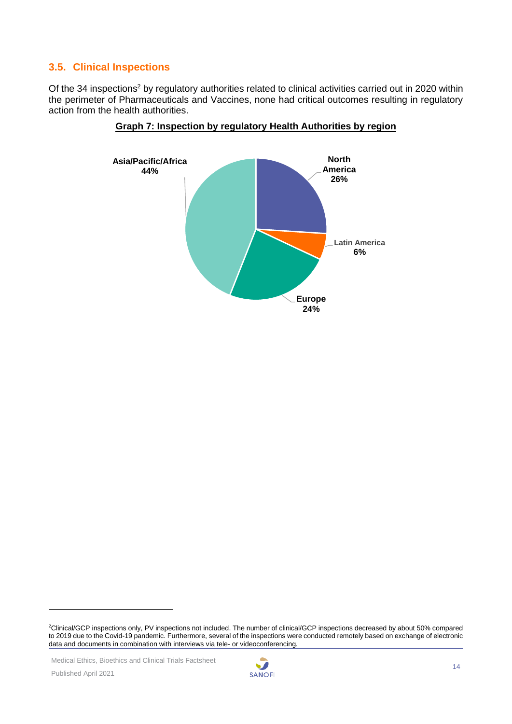# **3.5. Clinical Inspections**

Of the 34 inspections<sup>2</sup> by regulatory authorities related to clinical activities carried out in 2020 within the perimeter of Pharmaceuticals and Vaccines, none had critical outcomes resulting in regulatory action from the health authorities.





Medical Ethics, Bioethics and Clinical Trials Factsheet



<sup>2</sup>Clinical/GCP inspections only, PV inspections not included. The number of clinical/GCP inspections decreased by about 50% compared to 2019 due to the Covid-19 pandemic. Furthermore, several of the inspections were conducted remotely based on exchange of electronic data and documents in combination with interviews via tele- or videoconferencing.